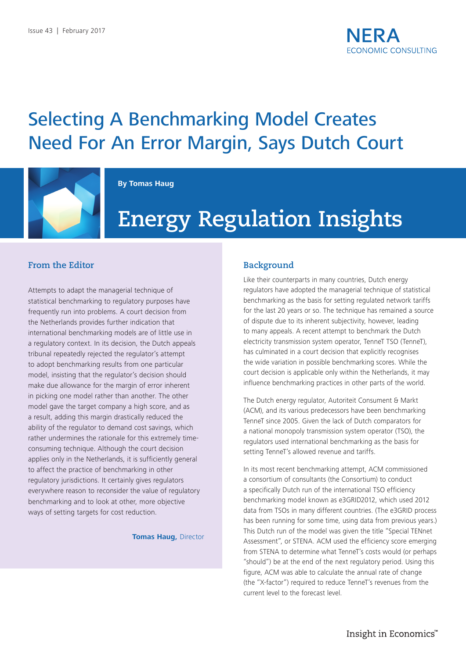# Selecting A Benchmarking Model Creates Need For An Error Margin, Says Dutch Court



#### **By Tomas Haug**

# **Energy Regulation Insights**

#### **From the Editor**

Attempts to adapt the managerial technique of statistical benchmarking to regulatory purposes have frequently run into problems. A court decision from the Netherlands provides further indication that international benchmarking models are of little use in a regulatory context. In its decision, the Dutch appeals tribunal repeatedly rejected the regulator's attempt to adopt benchmarking results from one particular model, insisting that the regulator's decision should make due allowance for the margin of error inherent in picking one model rather than another. The other model gave the target company a high score, and as a result, adding this margin drastically reduced the ability of the regulator to demand cost savings, which rather undermines the rationale for this extremely timeconsuming technique. Although the court decision applies only in the Netherlands, it is sufficiently general to affect the practice of benchmarking in other regulatory jurisdictions. It certainly gives regulators everywhere reason to reconsider the value of regulatory benchmarking and to look at other, more objective ways of setting targets for cost reduction.

#### **Tomas Haug,** Director

#### **Background**

Like their counterparts in many countries, Dutch energy regulators have adopted the managerial technique of statistical benchmarking as the basis for setting regulated network tariffs for the last 20 years or so. The technique has remained a source of dispute due to its inherent subjectivity, however, leading to many appeals. A recent attempt to benchmark the Dutch electricity transmission system operator, TenneT TSO (TenneT), has culminated in a court decision that explicitly recognises the wide variation in possible benchmarking scores. While the court decision is applicable only within the Netherlands, it may influence benchmarking practices in other parts of the world.

The Dutch energy regulator, Autoriteit Consument & Markt (ACM), and its various predecessors have been benchmarking TenneT since 2005. Given the lack of Dutch comparators for a national monopoly transmission system operator (TSO), the regulators used international benchmarking as the basis for setting TenneT's allowed revenue and tariffs.

In its most recent benchmarking attempt, ACM commissioned a consortium of consultants (the Consortium) to conduct a specifically Dutch run of the international TSO efficiency benchmarking model known as e3GRID2012, which used 2012 data from TSOs in many different countries. (The e3GRID process has been running for some time, using data from previous years.) This Dutch run of the model was given the title "Special TENnet Assessment", or STENA. ACM used the efficiency score emerging from STENA to determine what TenneT's costs would (or perhaps "should") be at the end of the next regulatory period. Using this figure, ACM was able to calculate the annual rate of change (the "X-factor") required to reduce TenneT's revenues from the current level to the forecast level.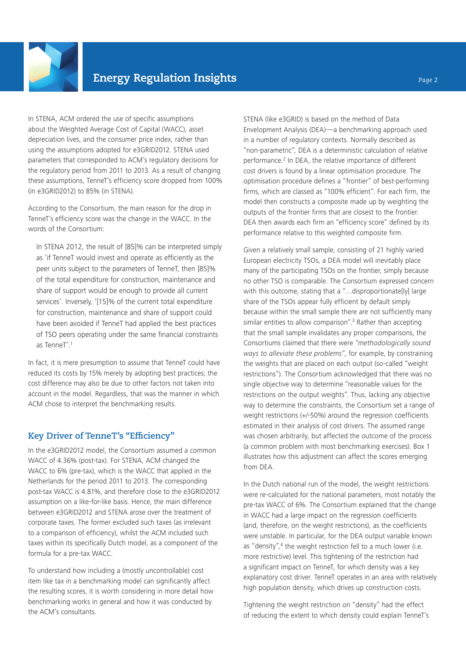

In STENA, ACM ordered the use of specific assumptions about the Weighted Average Cost of Capital (WACC), asset depreciation lives, and the consumer price index, rather than using the assumptions adopted for e3GRID2012. STENA used parameters that corresponded to ACM's regulatory decisions for the regulatory period from 2011 to 2013. As a result of changing these assumptions, TenneT's efficiency score dropped from 100% (in e3GRID2012) to 85% (in STENA).

According to the Consortium, the main reason for the drop in TenneT's efficiency score was the change in the WACC. In the words of the Consortium:

In STENA 2012, the result of [85]% can be interpreted simply as 'if TenneT would invest and operate as efficiently as the peer units subject to the parameters of TenneT, then [85]% of the total expenditure for construction, maintenance and share of support would be enough to provide all current services'. Inversely, '[15]% of the current total expenditure for construction, maintenance and share of support could have been avoided if TenneT had applied the best practices of TSO peers operating under the same financial constraints as TenneT'.1

In fact, it is mere presumption to assume that TenneT could have reduced its costs by 15% merely by adopting best practices; the cost difference may also be due to other factors not taken into account in the model. Regardless, that was the manner in which ACM chose to interpret the benchmarking results.

#### **Key Driver of TenneT's "Efficiency"**

In the e3GRID2012 model, the Consortium assumed a common WACC of 4.36% (post-tax). For STENA, ACM changed the WACC to 6% (pre-tax), which is the WACC that applied in the Netherlands for the period 2011 to 2013. The corresponding post-tax WACC is 4.81%, and therefore close to the e3GRID2012 assumption on a like-for-like basis. Hence, the main difference between e3GRID2012 and STENA arose over the treatment of corporate taxes. The former excluded such taxes (as irrelevant to a comparison of efficiency), whilst the ACM included such taxes within its specifically Dutch model, as a component of the formula for a pre-tax WACC.

To understand how including a (mostly uncontrollable) cost item like tax in a benchmarking model can significantly affect the resulting scores, it is worth considering in more detail how benchmarking works in general and how it was conducted by the ACM's consultants.

STENA (like e3GRID) is based on the method of Data Envelopment Analysis (DEA)—a benchmarking approach used in a number of regulatory contexts. Normally described as "non-parametric", DEA is a deterministic calculation of relative performance.2 In DEA, the relative importance of different cost drivers is found by a linear optimisation procedure. The optimisation procedure defines a "frontier" of best-performing firms, which are classed as "100% efficient". For each firm, the model then constructs a composite made up by weighting the outputs of the frontier firms that are closest to the frontier. DEA then awards each firm an "efficiency score" defined by its performance relative to this weighted composite firm.

Given a relatively small sample, consisting of 21 highly varied European electricity TSOs, a DEA model will inevitably place many of the participating TSOs on the frontier, simply because no other TSO is comparable. The Consortium expressed concern with this outcome, stating that a "... disproportionate[ly] large share of the TSOs appear fully efficient by default simply because within the small sample there are not sufficiently many similar entities to allow comparison".<sup>3</sup> Rather than accepting that the small sample invalidates any proper comparisons, the Consortiums claimed that there were *"methodologically sound ways to alleviate these problems"*, for example, by constraining the weights that are placed on each output (so-called "weight restrictions"). The Consortium acknowledged that there was no single objective way to determine "reasonable values for the restrictions on the output weights". Thus, lacking any objective way to determine the constraints, the Consortium set a range of weight restrictions (+/-50%) around the regression coefficients estimated in their analysis of cost drivers. The assumed range was chosen arbitrarily, but affected the outcome of the process (a common problem with most benchmarking exercises). Box 1 illustrates how this adjustment can affect the scores emerging from DEA.

In the Dutch national run of the model, the weight restrictions were re-calculated for the national parameters, most notably the pre-tax WACC of 6%. The Consortium explained that the change in WACC had a large impact on the regression coefficients (and, therefore, on the weight restrictions), as the coefficients were unstable. In particular, for the DEA output variable known as "density",<sup>4</sup> the weight restriction fell to a much lower (i.e. more restrictive) level. This tightening of the restriction had a significant impact on TenneT, for which density was a key explanatory cost driver. TenneT operates in an area with relatively high population density, which drives up construction costs.

Tightening the weight restriction on "density" had the effect of reducing the extent to which density could explain TenneT's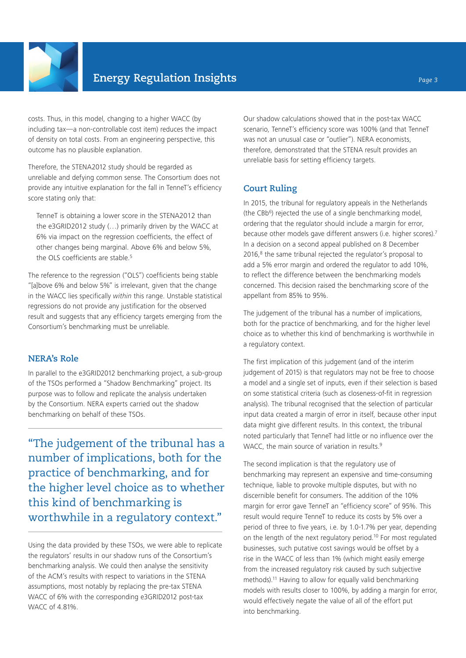

costs. Thus, in this model, changing to a higher WACC (by including tax—a non-controllable cost item) reduces the impact of density on total costs. From an engineering perspective, this outcome has no plausible explanation.

Therefore, the STENA2012 study should be regarded as unreliable and defying common sense. The Consortium does not provide any intuitive explanation for the fall in TenneT's efficiency score stating only that:

TenneT is obtaining a lower score in the STENA2012 than the e3GRID2012 study (…) primarily driven by the WACC at 6% via impact on the regression coefficients, the effect of other changes being marginal. Above 6% and below 5%, the OLS coefficients are stable.<sup>5</sup>

The reference to the regression ("OLS") coefficients being stable "[a]bove 6% and below 5%" is irrelevant, given that the change in the WACC lies specifically *within* this range. Unstable statistical regressions do not provide any justification for the observed result and suggests that any efficiency targets emerging from the Consortium's benchmarking must be unreliable.

### **NERA's Role**

In parallel to the e3GRID2012 benchmarking project, a sub-group of the TSOs performed a "Shadow Benchmarking" project. Its purpose was to follow and replicate the analysis undertaken by the Consortium. NERA experts carried out the shadow benchmarking on behalf of these TSOs.

"The judgement of the tribunal has a number of implications, both for the practice of benchmarking, and for the higher level choice as to whether this kind of benchmarking is worthwhile in a regulatory context."

Using the data provided by these TSOs, we were able to replicate the regulators' results in our shadow runs of the Consortium's benchmarking analysis. We could then analyse the sensitivity of the ACM's results with respect to variations in the STENA assumptions, most notably by replacing the pre-tax STENA WACC of 6% with the corresponding e3GRID2012 post-tax WACC of 4.81%.

Our shadow calculations showed that in the post-tax WACC scenario, TenneT's efficiency score was 100% (and that TenneT was not an unusual case or "outlier"). NERA economists, therefore, demonstrated that the STENA result provides an unreliable basis for setting efficiency targets.

# **Court Ruling**

In 2015, the tribunal for regulatory appeals in the Netherlands (the CBb<sup>6</sup>) rejected the use of a single benchmarking model, ordering that the regulator should include a margin for error, because other models gave different answers (i.e. higher scores).7 In a decision on a second appeal published on 8 December 2016,<sup>8</sup> the same tribunal rejected the regulator's proposal to add a 5% error margin and ordered the regulator to add 10%, to reflect the difference between the benchmarking models concerned. This decision raised the benchmarking score of the appellant from 85% to 95%.

The judgement of the tribunal has a number of implications, both for the practice of benchmarking, and for the higher level choice as to whether this kind of benchmarking is worthwhile in a regulatory context.

The first implication of this judgement (and of the interim judgement of 2015) is that regulators may not be free to choose a model and a single set of inputs, even if their selection is based on some statistical criteria (such as closeness-of-fit in regression analysis). The tribunal recognised that the selection of particular input data created a margin of error in itself, because other input data might give different results. In this context, the tribunal noted particularly that TenneT had little or no influence over the WACC, the main source of variation in results.<sup>9</sup>

The second implication is that the regulatory use of benchmarking may represent an expensive and time-consuming technique, liable to provoke multiple disputes, but with no discernible benefit for consumers. The addition of the 10% margin for error gave TenneT an "efficiency score" of 95%. This result would require TenneT to reduce its costs by 5% over a period of three to five years, i.e. by 1.0-1.7% per year, depending on the length of the next regulatory period.10 For most regulated businesses, such putative cost savings would be offset by a rise in the WACC of less than 1% (which might easily emerge from the increased regulatory risk caused by such subjective methods).11 Having to allow for equally valid benchmarking models with results closer to 100%, by adding a margin for error, would effectively negate the value of all of the effort put into benchmarking.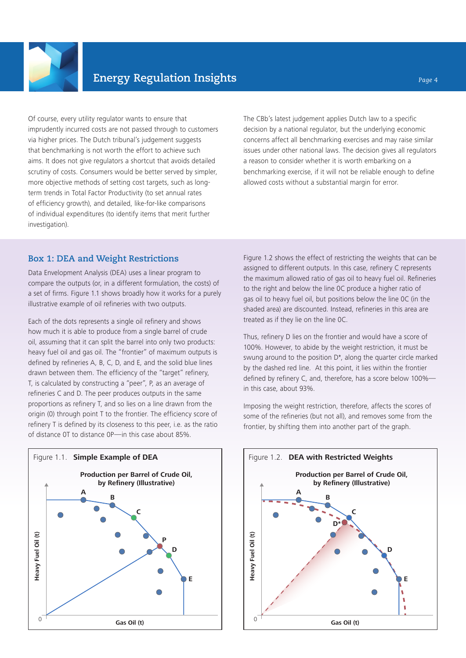

Of course, every utility regulator wants to ensure that imprudently incurred costs are not passed through to customers via higher prices. The Dutch tribunal's judgement suggests that benchmarking is not worth the effort to achieve such aims. It does not give regulators a shortcut that avoids detailed scrutiny of costs. Consumers would be better served by simpler, more objective methods of setting cost targets, such as longterm trends in Total Factor Productivity (to set annual rates of efficiency growth), and detailed, like-for-like comparisons of individual expenditures (to identify items that merit further investigation).

The CBb's latest judgement applies Dutch law to a specific decision by a national regulator, but the underlying economic concerns affect all benchmarking exercises and may raise similar issues under other national laws. The decision gives all regulators a reason to consider whether it is worth embarking on a benchmarking exercise, if it will not be reliable enough to define allowed costs without a substantial margin for error.

# **Box 1: DEA and Weight Restrictions**

Data Envelopment Analysis (DEA) uses a linear program to compare the outputs (or, in a different formulation, the costs) of a set of firms. Figure 1.1 shows broadly how it works for a purely illustrative example of oil refineries with two outputs.

Each of the dots represents a single oil refinery and shows how much it is able to produce from a single barrel of crude oil, assuming that it can split the barrel into only two products: heavy fuel oil and gas oil. The "frontier" of maximum outputs is defined by refineries A, B, C, D, and E, and the solid blue lines drawn between them. The efficiency of the "target" refinery, T, is calculated by constructing a "peer", P, as an average of refineries C and D. The peer produces outputs in the same proportions as refinery T, and so lies on a line drawn from the origin (0) through point T to the frontier. The efficiency score of refinery T is defined by its closeness to this peer, i.e. as the ratio of distance 0T to distance 0P—in this case about 85%.



Figure 1.2 shows the effect of restricting the weights that can be assigned to different outputs. In this case, refinery C represents the maximum allowed ratio of gas oil to heavy fuel oil. Refineries to the right and below the line 0C produce a higher ratio of gas oil to heavy fuel oil, but positions below the line 0C (in the shaded area) are discounted. Instead, refineries in this area are treated as if they lie on the line 0C.

Thus, refinery D lies on the frontier and would have a score of 100%. However, to abide by the weight restriction, it must be swung around to the position D\*, along the quarter circle marked by the dashed red line. At this point, it lies within the frontier defined by refinery C, and, therefore, has a score below 100% in this case, about 93%.

Imposing the weight restriction, therefore, affects the scores of some of the refineries (but not all), and removes some from the frontier, by shifting them into another part of the graph.

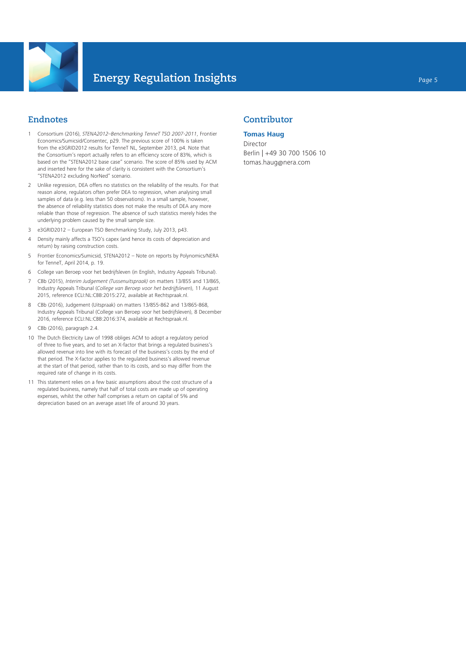

# **Endnotes**

- 1 Consortium (2016), *STENA2012–Benchmarking TenneT TSO 2007-2011*, Frontier Economics/Sumicsid/Consentec, p29. The previous score of 100% is taken from the e3GRID2012 results for TenneT NL, September 2013, p4. Note that the Consortium's report actually refers to an efficiency score of 83%, which is based on the "STENA2012 base case" scenario. The score of 85% used by ACM and inserted here for the sake of clarity is consistent with the Consortium's "STENA2012 excluding NorNed" scenario.
- 2 Unlike regression, DEA offers no statistics on the reliability of the results. For that reason alone, regulators often prefer DEA to regression, when analysing small samples of data (e.g. less than 50 observations). In a small sample, however, the absence of reliability statistics does not make the results of DEA any more reliable than those of regression. The absence of such statistics merely hides the underlying problem caused by the small sample size.
- 3 e3GRID2012 European TSO Benchmarking Study, July 2013, p43.
- 4 Density mainly affects a TSO's capex (and hence its costs of depreciation and return) by raising construction costs.
- 5 Frontier Economics/Sumicsid, STENA2012 Note on reports by Polynomics/NERA for TenneT, April 2014, p. 19.
- 6 College van Beroep voor het bedrijfsleven (in English, Industry Appeals Tribunal).
- 7 CBb (2015), *Interim Judgement (Tussenuitspraak)* on matters 13/855 and 13/865, Industry Appeals Tribunal (*College van Beroep voor het bedrijfsleven*), 11 August 2015, reference ECLI:NL:CBB:2015:272, available at Rechtspraak.nl.
- 8 CBb (2016), Judgement (Uitspraak) on matters 13/855-862 and 13/865-868, Industry Appeals Tribunal (College van Beroep voor het bedrijfsleven), 8 December 2016, reference ECLI:NL:CBB:2016:374, available at Rechtspraak.nl.
- 9 CBb (2016), paragraph 2.4.
- 10 The Dutch Electricity Law of 1998 obliges ACM to adopt a regulatory period of three to five years, and to set an X-factor that brings a regulated business's allowed revenue into line with its forecast of the business's costs by the end of that period. The X-factor applies to the regulated business's allowed revenue at the start of that period, rather than to its costs, and so may differ from the required rate of change in its costs.
- 11 This statement relies on a few basic assumptions about the cost structure of a regulated business, namely that half of total costs are made up of operating expenses, whilst the other half comprises a return on capital of 5% and depreciation based on an average asset life of around 30 years.

# **Contributor**

#### **Tomas Haug**

Director Berlin | +49 30 700 1506 10 tomas.haug@nera.com